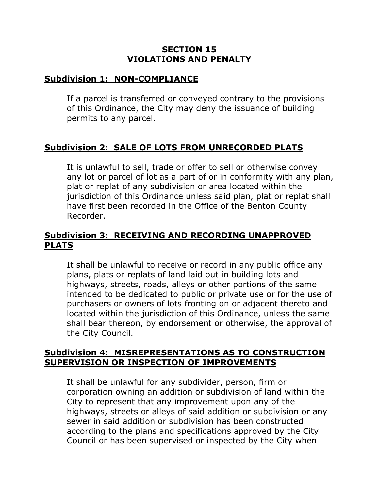### **SECTION 15 VIOLATIONS AND PENALTY**

### **Subdivision 1: NON-COMPLIANCE**

If a parcel is transferred or conveyed contrary to the provisions of this Ordinance, the City may deny the issuance of building permits to any parcel.

# **Subdivision 2: SALE OF LOTS FROM UNRECORDED PLATS**

It is unlawful to sell, trade or offer to sell or otherwise convey any lot or parcel of lot as a part of or in conformity with any plan, plat or replat of any subdivision or area located within the jurisdiction of this Ordinance unless said plan, plat or replat shall have first been recorded in the Office of the Benton County Recorder.

## **Subdivision 3: RECEIVING AND RECORDING UNAPPROVED PLATS**

It shall be unlawful to receive or record in any public office any plans, plats or replats of land laid out in building lots and highways, streets, roads, alleys or other portions of the same intended to be dedicated to public or private use or for the use of purchasers or owners of lots fronting on or adjacent thereto and located within the jurisdiction of this Ordinance, unless the same shall bear thereon, by endorsement or otherwise, the approval of the City Council.

#### **Subdivision 4: MISREPRESENTATIONS AS TO CONSTRUCTION SUPERVISION OR INSPECTION OF IMPROVEMENTS**

It shall be unlawful for any subdivider, person, firm or corporation owning an addition or subdivision of land within the City to represent that any improvement upon any of the highways, streets or alleys of said addition or subdivision or any sewer in said addition or subdivision has been constructed according to the plans and specifications approved by the City Council or has been supervised or inspected by the City when